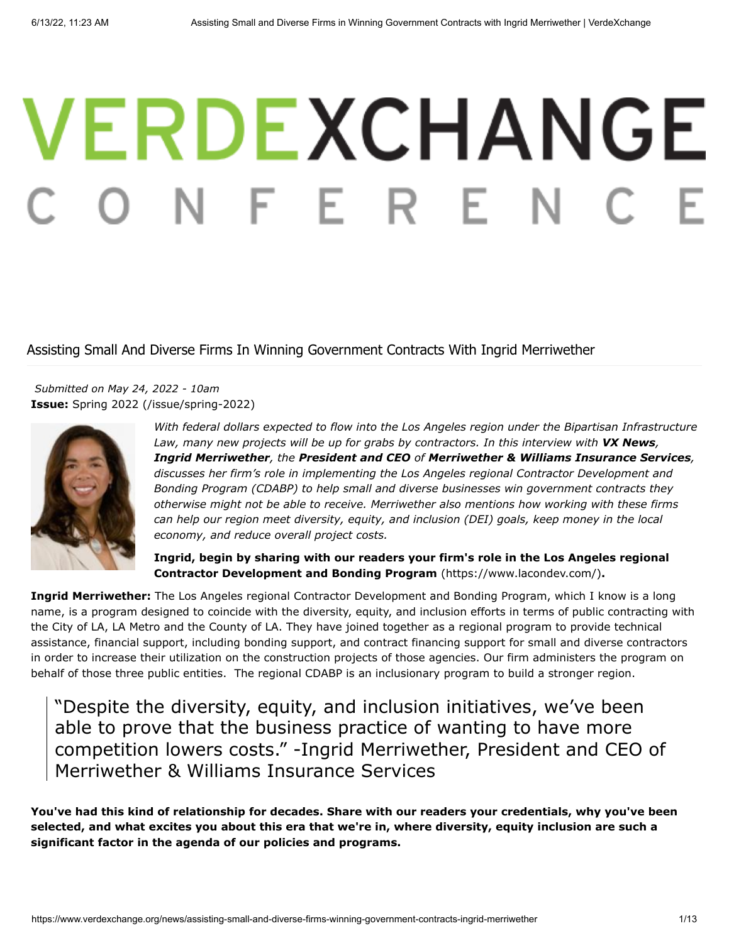# VERDEXCHANGE ONFERE

# Assisting Small And Diverse Firms In Winning Government Contracts With Ingrid Merriwether

**Issue:** [Spring 2022 \(/issue/spring-2022\)](https://www.verdexchange.org/issue/spring-2022) *Submitted on May 24, 2022 - 10am*



*With federal dollars expected to flow into the Los Angeles region under the Bipartisan Infrastructure* Law, many new projects will be up for grabs by contractors. In this interview with **VX News**, *Ingrid Merriwether, the President and CEO of Merriwether & Williams Insurance Services, discusses her firm's role in implementing the Los Angeles regional Contractor Development and Bonding Program (CDABP) to help small and diverse businesses win government contracts they otherwise might not be able to receive. Merriwether also mentions how working with these firms can help our region meet diversity, equity, and inclusion (DEI) goals, keep money in the local economy, and reduce overall project costs.*

**[Ingrid, begin by sharing with our readers your firm's role in the Los Angeles regional](https://www.lacondev.com/) Contractor Development and Bonding Program** (https://www.lacondev.com/)**.**

**Ingrid Merriwether:** The Los Angeles regional Contractor Development and Bonding Program, which I know is a long name, is a program designed to coincide with the diversity, equity, and inclusion efforts in terms of public contracting with the City of LA, LA Metro and the County of LA. They have joined together as a regional program to provide technical assistance, financial support, including bonding support, and contract financing support for small and diverse contractors in order to increase their utilization on the construction projects of those agencies. Our firm administers the program on behalf of those three public entities. The regional CDABP is an inclusionary program to build a stronger region.

"Despite the diversity, equity, and inclusion initiatives, we've been able to prove that the business practice of wanting to have more competition lowers costs." -Ingrid Merriwether, President and CEO of Merriwether & Williams Insurance Services

**You've had this kind of relationship for decades. Share with our readers your credentials, why you've been selected, and what excites you about this era that we're in, where diversity, equity inclusion are such a significant factor in the agenda of our policies and programs.**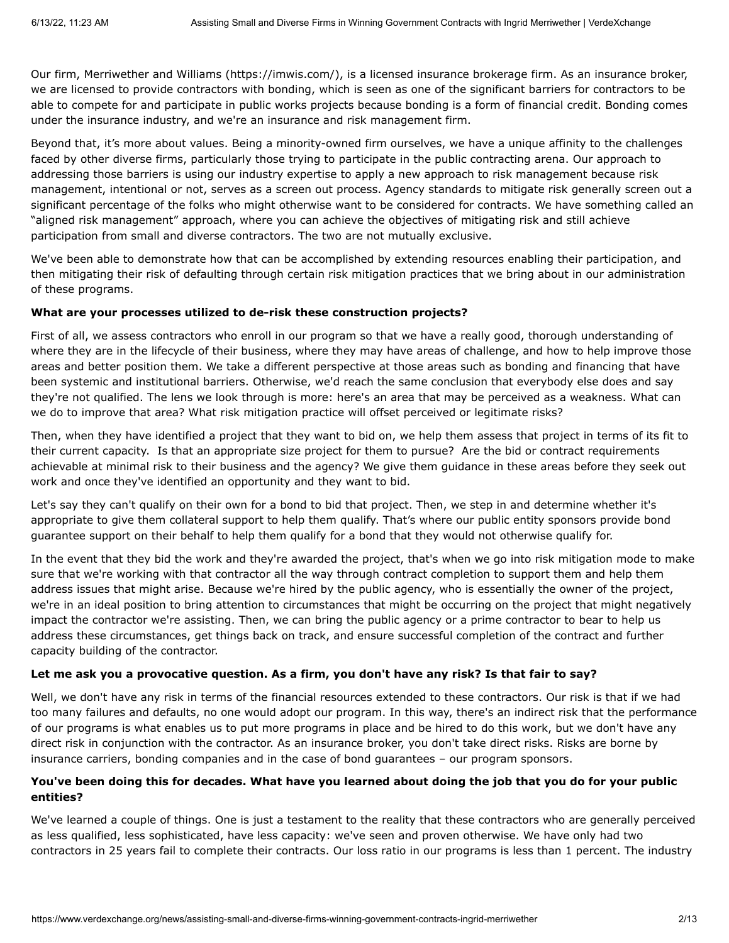Our firm, [Merriwether and Williams \(https://imwis.com/\),](https://imwis.com/) is a licensed insurance brokerage firm. As an insurance broker, we are licensed to provide contractors with bonding, which is seen as one of the significant barriers for contractors to be able to compete for and participate in public works projects because bonding is a form of financial credit. Bonding comes under the insurance industry, and we're an insurance and risk management firm.

Beyond that, it's more about values. Being a minority-owned firm ourselves, we have a unique affinity to the challenges faced by other diverse firms, particularly those trying to participate in the public contracting arena. Our approach to addressing those barriers is using our industry expertise to apply a new approach to risk management because risk management, intentional or not, serves as a screen out process. Agency standards to mitigate risk generally screen out a significant percentage of the folks who might otherwise want to be considered for contracts. We have something called an "aligned risk management" approach, where you can achieve the objectives of mitigating risk and still achieve participation from small and diverse contractors. The two are not mutually exclusive.

We've been able to demonstrate how that can be accomplished by extending resources enabling their participation, and then mitigating their risk of defaulting through certain risk mitigation practices that we bring about in our administration of these programs.

#### **What are your processes utilized to de-risk these construction projects?**

First of all, we assess contractors who enroll in our program so that we have a really good, thorough understanding of where they are in the lifecycle of their business, where they may have areas of challenge, and how to help improve those areas and better position them. We take a different perspective at those areas such as bonding and financing that have been systemic and institutional barriers. Otherwise, we'd reach the same conclusion that everybody else does and say they're not qualified. The lens we look through is more: here's an area that may be perceived as a weakness. What can we do to improve that area? What risk mitigation practice will offset perceived or legitimate risks?

Then, when they have identified a project that they want to bid on, we help them assess that project in terms of its fit to their current capacity. Is that an appropriate size project for them to pursue? Are the bid or contract requirements achievable at minimal risk to their business and the agency? We give them guidance in these areas before they seek out work and once they've identified an opportunity and they want to bid.

Let's say they can't qualify on their own for a bond to bid that project. Then, we step in and determine whether it's appropriate to give them collateral support to help them qualify. That's where our public entity sponsors provide bond guarantee support on their behalf to help them qualify for a bond that they would not otherwise qualify for.

In the event that they bid the work and they're awarded the project, that's when we go into risk mitigation mode to make sure that we're working with that contractor all the way through contract completion to support them and help them address issues that might arise. Because we're hired by the public agency, who is essentially the owner of the project, we're in an ideal position to bring attention to circumstances that might be occurring on the project that might negatively impact the contractor we're assisting. Then, we can bring the public agency or a prime contractor to bear to help us address these circumstances, get things back on track, and ensure successful completion of the contract and further capacity building of the contractor.

#### **Let me ask you a provocative question. As a firm, you don't have any risk? Is that fair to say?**

Well, we don't have any risk in terms of the financial resources extended to these contractors. Our risk is that if we had too many failures and defaults, no one would adopt our program. In this way, there's an indirect risk that the performance of our programs is what enables us to put more programs in place and be hired to do this work, but we don't have any direct risk in conjunction with the contractor. As an insurance broker, you don't take direct risks. Risks are borne by insurance carriers, bonding companies and in the case of bond guarantees – our program sponsors.

#### **You've been doing this for decades. What have you learned about doing the job that you do for your public entities?**

We've learned a couple of things. One is just a testament to the reality that these contractors who are generally perceived as less qualified, less sophisticated, have less capacity: we've seen and proven otherwise. We have only had two contractors in 25 years fail to complete their contracts. Our loss ratio in our programs is less than 1 percent. The industry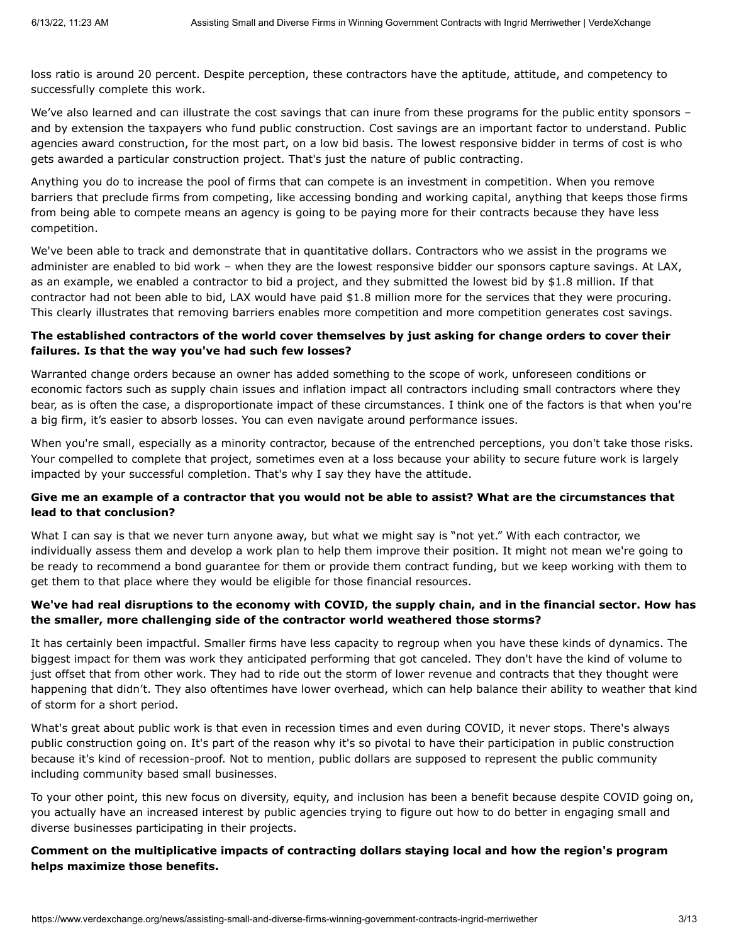loss ratio is around 20 percent. Despite perception, these contractors have the aptitude, attitude, and competency to successfully complete this work.

We've also learned and can illustrate the cost savings that can inure from these programs for the public entity sponsors – and by extension the taxpayers who fund public construction. Cost savings are an important factor to understand. Public agencies award construction, for the most part, on a low bid basis. The lowest responsive bidder in terms of cost is who gets awarded a particular construction project. That's just the nature of public contracting.

Anything you do to increase the pool of firms that can compete is an investment in competition. When you remove barriers that preclude firms from competing, like accessing bonding and working capital, anything that keeps those firms from being able to compete means an agency is going to be paying more for their contracts because they have less competition.

We've been able to track and demonstrate that in quantitative dollars. Contractors who we assist in the programs we administer are enabled to bid work – when they are the lowest responsive bidder our sponsors capture savings. At LAX, as an example, we enabled a contractor to bid a project, and they submitted the lowest bid by \$1.8 million. If that contractor had not been able to bid, LAX would have paid \$1.8 million more for the services that they were procuring. This clearly illustrates that removing barriers enables more competition and more competition generates cost savings.

#### **The established contractors of the world cover themselves by just asking for change orders to cover their failures. Is that the way you've had such few losses?**

Warranted change orders because an owner has added something to the scope of work, unforeseen conditions or economic factors such as supply chain issues and inflation impact all contractors including small contractors where they bear, as is often the case, a disproportionate impact of these circumstances. I think one of the factors is that when you're a big firm, it's easier to absorb losses. You can even navigate around performance issues.

When you're small, especially as a minority contractor, because of the entrenched perceptions, you don't take those risks. Your compelled to complete that project, sometimes even at a loss because your ability to secure future work is largely impacted by your successful completion. That's why I say they have the attitude.

### **Give me an example of a contractor that you would not be able to assist? What are the circumstances that lead to that conclusion?**

What I can say is that we never turn anyone away, but what we might say is "not yet." With each contractor, we individually assess them and develop a work plan to help them improve their position. It might not mean we're going to be ready to recommend a bond guarantee for them or provide them contract funding, but we keep working with them to get them to that place where they would be eligible for those financial resources.

### **We've had real disruptions to the economy with COVID, the supply chain, and in the financial sector. How has the smaller, more challenging side of the contractor world weathered those storms?**

It has certainly been impactful. Smaller firms have less capacity to regroup when you have these kinds of dynamics. The biggest impact for them was work they anticipated performing that got canceled. They don't have the kind of volume to just offset that from other work. They had to ride out the storm of lower revenue and contracts that they thought were happening that didn't. They also oftentimes have lower overhead, which can help balance their ability to weather that kind of storm for a short period.

What's great about public work is that even in recession times and even during COVID, it never stops. There's always public construction going on. It's part of the reason why it's so pivotal to have their participation in public construction because it's kind of recession-proof. Not to mention, public dollars are supposed to represent the public community including community based small businesses.

To your other point, this new focus on diversity, equity, and inclusion has been a benefit because despite COVID going on, you actually have an increased interest by public agencies trying to figure out how to do better in engaging small and diverse businesses participating in their projects.

**Comment on the multiplicative impacts of contracting dollars staying local and how the region's program helps maximize those benefits.**